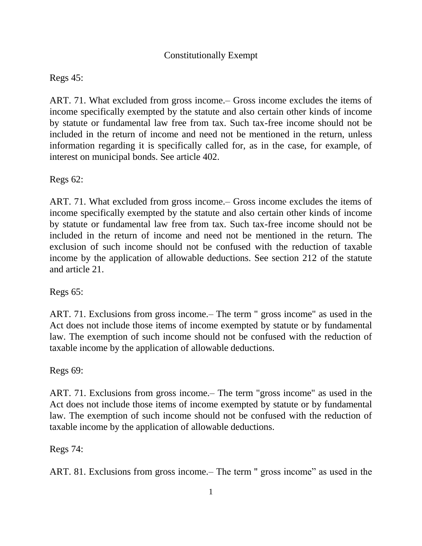## Constitutionally Exempt

## Regs 45:

ART. 71. What excluded from gross income.– Gross income excludes the items of income specifically exempted by the statute and also certain other kinds of income by statute or fundamental law free from tax. Such tax-free income should not be included in the return of income and need not be mentioned in the return, unless information regarding it is specifically called for, as in the case, for example, of interest on municipal bonds. See article 402.

Regs 62:

ART. 71. What excluded from gross income.– Gross income excludes the items of income specifically exempted by the statute and also certain other kinds of income by statute or fundamental law free from tax. Such tax-free income should not be included in the return of income and need not be mentioned in the return. The exclusion of such income should not be confused with the reduction of taxable income by the application of allowable deductions. See section 212 of the statute and article 21.

Regs 65:

ART. 71. Exclusions from gross income.– The term " gross income" as used in the Act does not include those items of income exempted by statute or by fundamental law. The exemption of such income should not be confused with the reduction of taxable income by the application of allowable deductions.

Regs 69:

ART. 71. Exclusions from gross income.– The term "gross income" as used in the Act does not include those items of income exempted by statute or by fundamental law. The exemption of such income should not be confused with the reduction of taxable income by the application of allowable deductions.

Regs 74:

ART. 81. Exclusions from gross income.– The term '' gross income" as used in the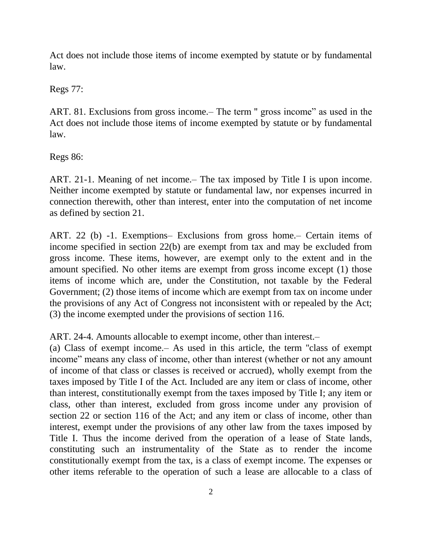Act does not include those items of income exempted by statute or by fundamental law.

Regs 77:

ART. 81. Exclusions from gross income.– The term '' gross income" as used in the Act does not include those items of income exempted by statute or by fundamental law.

Regs 86:

ART. 21-1. Meaning of net income.– The tax imposed by Title I is upon income. Neither income exempted by statute or fundamental law, nor expenses incurred in connection therewith, other than interest, enter into the computation of net income as defined by section 21.

ART. 22 (b) -1. Exemptions– Exclusions from gross home.– Certain items of income specified in section 22(b) are exempt from tax and may be excluded from gross income. These items, however, are exempt only to the extent and in the amount specified. No other items are exempt from gross income except (1) those items of income which are, under the Constitution, not taxable by the Federal Government; (2) those items of income which are exempt from tax on income under the provisions of any Act of Congress not inconsistent with or repealed by the Act; (3) the income exempted under the provisions of section 116.

ART. 24-4. Amounts allocable to exempt income, other than interest.–

(a) Class of exempt income.– As used in this article, the term ''class of exempt income" means any class of income, other than interest (whether or not any amount of income of that class or classes is received or accrued), wholly exempt from the taxes imposed by Title I of the Act. Included are any item or class of income, other than interest, constitutionally exempt from the taxes imposed by Title I; any item or class, other than interest, excluded from gross income under any provision of section 22 or section 116 of the Act; and any item or class of income, other than interest, exempt under the provisions of any other law from the taxes imposed by Title I. Thus the income derived from the operation of a lease of State lands, constituting such an instrumentality of the State as to render the income constitutionally exempt from the tax, is a class of exempt income. The expenses or other items referable to the operation of such a lease are allocable to a class of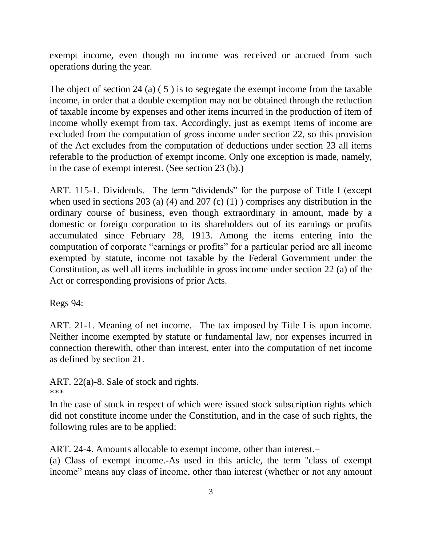exempt income, even though no income was received or accrued from such operations during the year.

The object of section 24 (a) ( 5 ) is to segregate the exempt income from the taxable income, in order that a double exemption may not be obtained through the reduction of taxable income by expenses and other items incurred in the production of item of income wholly exempt from tax. Accordingly, just as exempt items of income are excluded from the computation of gross income under section 22, so this provision of the Act excludes from the computation of deductions under section 23 all items referable to the production of exempt income. Only one exception is made, namely, in the case of exempt interest. (See section 23 (b).)

ART. 115-1. Dividends.– The term "dividends" for the purpose of Title I (except when used in sections 203 (a) (4) and 207 (c) (1) ) comprises any distribution in the ordinary course of business, even though extraordinary in amount, made by a domestic or foreign corporation to its shareholders out of its earnings or profits accumulated since February 28, 1913. Among the items entering into the computation of corporate "earnings or profits" for a particular period are all income exempted by statute, income not taxable by the Federal Government under the Constitution, as well all items includible in gross income under section 22 (a) of the Act or corresponding provisions of prior Acts.

Regs 94:

ART. 21-1. Meaning of net income.– The tax imposed by Title I is upon income. Neither income exempted by statute or fundamental law, nor expenses incurred in connection therewith, other than interest, enter into the computation of net income as defined by section 21.

ART. 22(a)-8. Sale of stock and rights. \*\*\*

In the case of stock in respect of which were issued stock subscription rights which did not constitute income under the Constitution, and in the case of such rights, the following rules are to be applied:

ART. 24-4. Amounts allocable to exempt income, other than interest.–

(a) Class of exempt income.-As used in this article, the term ''class of exempt income" means any class of income, other than interest (whether or not any amount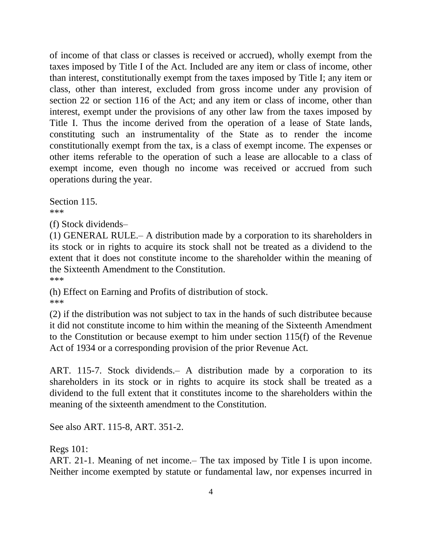of income of that class or classes is received or accrued), wholly exempt from the taxes imposed by Title I of the Act. Included are any item or class of income, other than interest, constitutionally exempt from the taxes imposed by Title I; any item or class, other than interest, excluded from gross income under any provision of section 22 or section 116 of the Act; and any item or class of income, other than interest, exempt under the provisions of any other law from the taxes imposed by Title I. Thus the income derived from the operation of a lease of State lands, constituting such an instrumentality of the State as to render the income constitutionally exempt from the tax, is a class of exempt income. The expenses or other items referable to the operation of such a lease are allocable to a class of exempt income, even though no income was received or accrued from such operations during the year.

Section 115. \*\*\*

(f) Stock dividends–

(1) GENERAL RULE.– A distribution made by a corporation to its shareholders in its stock or in rights to acquire its stock shall not be treated as a dividend to the extent that it does not constitute income to the shareholder within the meaning of the Sixteenth Amendment to the Constitution. \*\*\*

(h) Effect on Earning and Profits of distribution of stock. \*\*\*

(2) if the distribution was not subject to tax in the hands of such distributee because it did not constitute income to him within the meaning of the Sixteenth Amendment to the Constitution or because exempt to him under section 115(f) of the Revenue Act of 1934 or a corresponding provision of the prior Revenue Act.

ART. 115-7. Stock dividends.– A distribution made by a corporation to its shareholders in its stock or in rights to acquire its stock shall be treated as a dividend to the full extent that it constitutes income to the shareholders within the meaning of the sixteenth amendment to the Constitution.

See also ART. 115-8, ART. 351-2.

Regs 101:

ART. 21-1. Meaning of net income.– The tax imposed by Title I is upon income. Neither income exempted by statute or fundamental law, nor expenses incurred in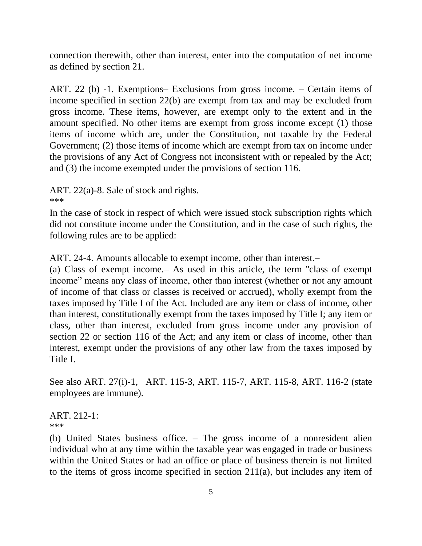connection therewith, other than interest, enter into the computation of net income as defined by section 21.

ART. 22 (b) -1. Exemptions– Exclusions from gross income. – Certain items of income specified in section 22(b) are exempt from tax and may be excluded from gross income. These items, however, are exempt only to the extent and in the amount specified. No other items are exempt from gross income except (1) those items of income which are, under the Constitution, not taxable by the Federal Government; (2) those items of income which are exempt from tax on income under the provisions of any Act of Congress not inconsistent with or repealed by the Act; and (3) the income exempted under the provisions of section 116.

ART. 22(a)-8. Sale of stock and rights.

\*\*\*

In the case of stock in respect of which were issued stock subscription rights which did not constitute income under the Constitution, and in the case of such rights, the following rules are to be applied:

ART. 24-4. Amounts allocable to exempt income, other than interest.–

(a) Class of exempt income.– As used in this article, the term ''class of exempt income" means any class of income, other than interest (whether or not any amount of income of that class or classes is received or accrued), wholly exempt from the taxes imposed by Title I of the Act. Included are any item or class of income, other than interest, constitutionally exempt from the taxes imposed by Title I; any item or class, other than interest, excluded from gross income under any provision of section 22 or section 116 of the Act; and any item or class of income, other than interest, exempt under the provisions of any other law from the taxes imposed by Title I.

See also ART. 27(i)-1, ART. 115-3, ART. 115-7, ART. 115-8, ART. 116-2 (state employees are immune).

ART. 212-1: \*\*\*

(b) United States business office. – The gross income of a nonresident alien individual who at any time within the taxable year was engaged in trade or business within the United States or had an office or place of business therein is not limited to the items of gross income specified in section 211(a), but includes any item of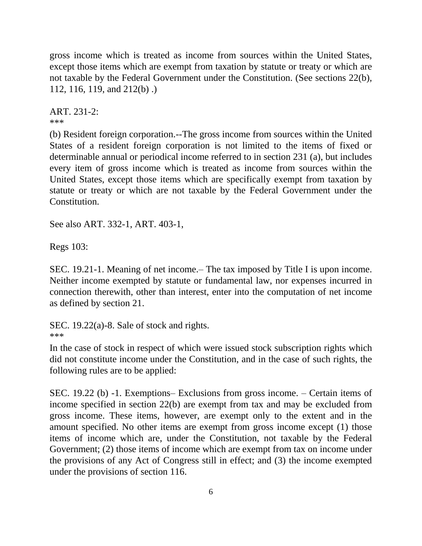gross income which is treated as income from sources within the United States, except those items which are exempt from taxation by statute or treaty or which are not taxable by the Federal Government under the Constitution. (See sections 22(b), 112, 116, 119, and 212(b) .)

ART. 231-2: \*\*\*

(b) Resident foreign corporation.--The gross income from sources within the United States of a resident foreign corporation is not limited to the items of fixed or determinable annual or periodical income referred to in section 231 (a), but includes every item of gross income which is treated as income from sources within the United States, except those items which are specifically exempt from taxation by statute or treaty or which are not taxable by the Federal Government under the Constitution.

See also ART. 332-1, ART. 403-1,

Regs 103:

SEC. 19.21-1. Meaning of net income.– The tax imposed by Title I is upon income. Neither income exempted by statute or fundamental law, nor expenses incurred in connection therewith, other than interest, enter into the computation of net income as defined by section 21.

SEC. 19.22(a)-8. Sale of stock and rights. \*\*\*

In the case of stock in respect of which were issued stock subscription rights which did not constitute income under the Constitution, and in the case of such rights, the following rules are to be applied:

SEC. 19.22 (b) -1. Exemptions– Exclusions from gross income. – Certain items of income specified in section 22(b) are exempt from tax and may be excluded from gross income. These items, however, are exempt only to the extent and in the amount specified. No other items are exempt from gross income except (1) those items of income which are, under the Constitution, not taxable by the Federal Government; (2) those items of income which are exempt from tax on income under the provisions of any Act of Congress still in effect; and (3) the income exempted under the provisions of section 116.